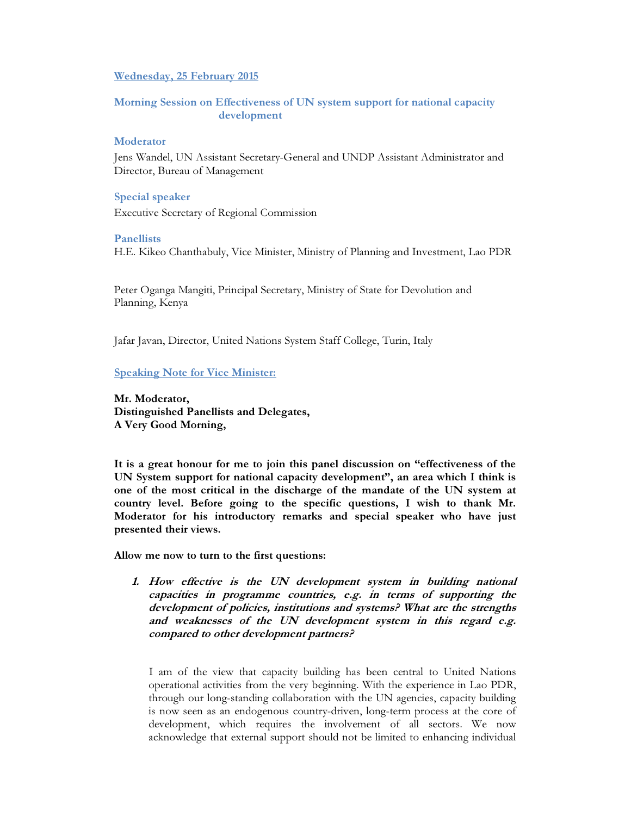## Wednesday, 25 February 2015

## Morning Session on Effectiveness of UN system support for national capacity development

## Moderator

Jens Wandel, UN Assistant Secretary-General and UNDP Assistant Administrator and Director, Bureau of Management

#### Special speaker

Executive Secretary of Regional Commission

#### Panellists

H.E. Kikeo Chanthabuly, Vice Minister, Ministry of Planning and Investment, Lao PDR

Peter Oganga Mangiti, Principal Secretary, Ministry of State for Devolution and Planning, Kenya

Jafar Javan, Director, United Nations System Staff College, Turin, Italy

## Speaking Note for Vice Minister:

Mr. Moderator, Distinguished Panellists and Delegates, A Very Good Morning,

It is a great honour for me to join this panel discussion on "effectiveness of the UN System support for national capacity development", an area which I think is one of the most critical in the discharge of the mandate of the UN system at country level. Before going to the specific questions, I wish to thank Mr. Moderator for his introductory remarks and special speaker who have just presented their views.

Allow me now to turn to the first questions:

1. How effective is the UN development system in building national capacities in programme countries, e.g. in terms of supporting the development of policies, institutions and systems? What are the strengths and weaknesses of the UN development system in this regard e.g. compared to other development partners?

I am of the view that capacity building has been central to United Nations operational activities from the very beginning. With the experience in Lao PDR, through our long-standing collaboration with the UN agencies, capacity building is now seen as an endogenous country-driven, long-term process at the core of development, which requires the involvement of all sectors. We now acknowledge that external support should not be limited to enhancing individual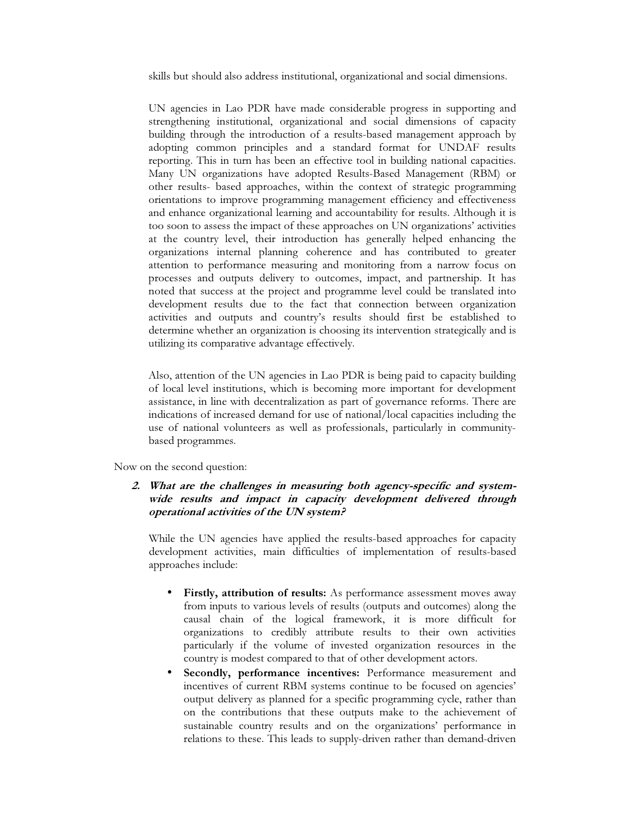skills but should also address institutional, organizational and social dimensions.

UN agencies in Lao PDR have made considerable progress in supporting and strengthening institutional, organizational and social dimensions of capacity building through the introduction of a results-based management approach by adopting common principles and a standard format for UNDAF results reporting. This in turn has been an effective tool in building national capacities. Many UN organizations have adopted Results-Based Management (RBM) or other results- based approaches, within the context of strategic programming orientations to improve programming management efficiency and effectiveness and enhance organizational learning and accountability for results. Although it is too soon to assess the impact of these approaches on UN organizations' activities at the country level, their introduction has generally helped enhancing the organizations internal planning coherence and has contributed to greater attention to performance measuring and monitoring from a narrow focus on processes and outputs delivery to outcomes, impact, and partnership. It has noted that success at the project and programme level could be translated into development results due to the fact that connection between organization activities and outputs and country's results should first be established to determine whether an organization is choosing its intervention strategically and is utilizing its comparative advantage effectively.

Also, attention of the UN agencies in Lao PDR is being paid to capacity building of local level institutions, which is becoming more important for development assistance, in line with decentralization as part of governance reforms. There are indications of increased demand for use of national/local capacities including the use of national volunteers as well as professionals, particularly in communitybased programmes.

Now on the second question:

## 2. What are the challenges in measuring both agency-specific and systemwide results and impact in capacity development delivered through operational activities of the UN system?

While the UN agencies have applied the results-based approaches for capacity development activities, main difficulties of implementation of results-based approaches include:

- Firstly, attribution of results: As performance assessment moves away from inputs to various levels of results (outputs and outcomes) along the causal chain of the logical framework, it is more difficult for organizations to credibly attribute results to their own activities particularly if the volume of invested organization resources in the country is modest compared to that of other development actors.
- Secondly, performance incentives: Performance measurement and incentives of current RBM systems continue to be focused on agencies' output delivery as planned for a specific programming cycle, rather than on the contributions that these outputs make to the achievement of sustainable country results and on the organizations' performance in relations to these. This leads to supply-driven rather than demand-driven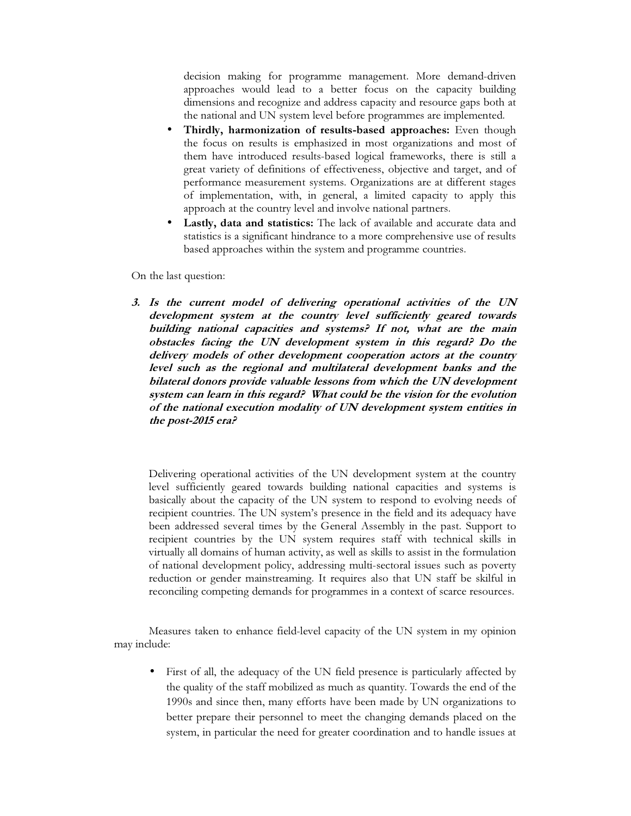decision making for programme management. More demand-driven approaches would lead to a better focus on the capacity building dimensions and recognize and address capacity and resource gaps both at the national and UN system level before programmes are implemented.

- Thirdly, harmonization of results-based approaches: Even though the focus on results is emphasized in most organizations and most of them have introduced results-based logical frameworks, there is still a great variety of definitions of effectiveness, objective and target, and of performance measurement systems. Organizations are at different stages of implementation, with, in general, a limited capacity to apply this approach at the country level and involve national partners.
- Lastly, data and statistics: The lack of available and accurate data and statistics is a significant hindrance to a more comprehensive use of results based approaches within the system and programme countries.

On the last question:

3. Is the current model of delivering operational activities of the UN development system at the country level sufficiently geared towards building national capacities and systems? If not, what are the main obstacles facing the UN development system in this regard? Do the delivery models of other development cooperation actors at the country level such as the regional and multilateral development banks and the bilateral donors provide valuable lessons from which the UN development system can learn in this regard? What could be the vision for the evolution of the national execution modality of UN development system entities in the post-2015 era?

Delivering operational activities of the UN development system at the country level sufficiently geared towards building national capacities and systems is basically about the capacity of the UN system to respond to evolving needs of recipient countries. The UN system's presence in the field and its adequacy have been addressed several times by the General Assembly in the past. Support to recipient countries by the UN system requires staff with technical skills in virtually all domains of human activity, as well as skills to assist in the formulation of national development policy, addressing multi-sectoral issues such as poverty reduction or gender mainstreaming. It requires also that UN staff be skilful in reconciling competing demands for programmes in a context of scarce resources.

Measures taken to enhance field-level capacity of the UN system in my opinion may include:

• First of all, the adequacy of the UN field presence is particularly affected by the quality of the staff mobilized as much as quantity. Towards the end of the 1990s and since then, many efforts have been made by UN organizations to better prepare their personnel to meet the changing demands placed on the system, in particular the need for greater coordination and to handle issues at